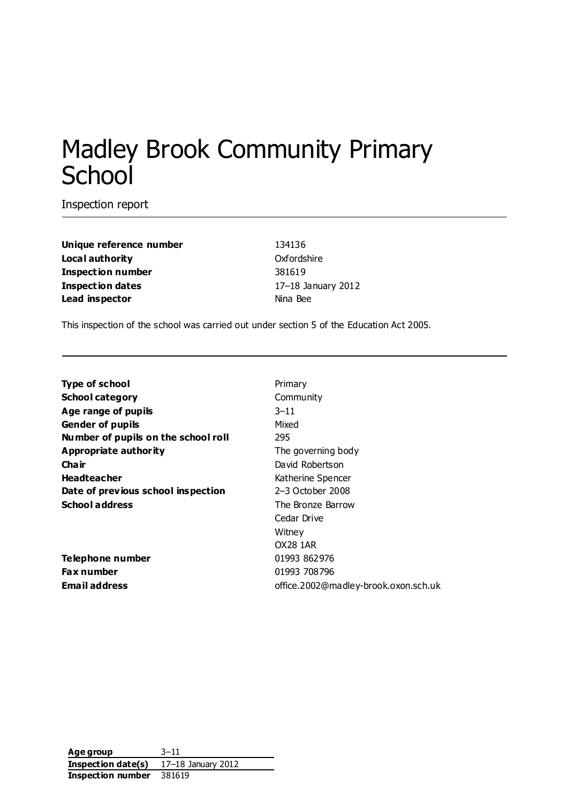# Madley Brook Community Primary **School**

Inspection report

**Unique reference number** 134136 **Local authority** Oxfordshire **Inspection number** 381619 **Inspection dates** 17–18 January 2012 **Lead inspector** Nina Bee

This inspection of the school was carried out under section 5 of the Education Act 2005.

| <b>Type of school</b>               | Primary                              |
|-------------------------------------|--------------------------------------|
| <b>School category</b>              | Community                            |
| Age range of pupils                 | $3 - 11$                             |
| <b>Gender of pupils</b>             | Mixed                                |
| Number of pupils on the school roll | 295                                  |
| <b>Appropriate authority</b>        | The governing body                   |
| Cha ir                              | David Robertson                      |
| <b>Headteacher</b>                  | Katherine Spencer                    |
| Date of previous school inspection  | 2–3 October 2008                     |
| <b>School address</b>               | The Bronze Barrow                    |
|                                     | Cedar Drive                          |
|                                     | Witney                               |
|                                     | OX28 1AR                             |
| Telephone number                    | 01993 862976                         |
| Fax number                          | 01993 708796                         |
| <b>Email address</b>                | office.2002@madley-brook.oxon.sch.uk |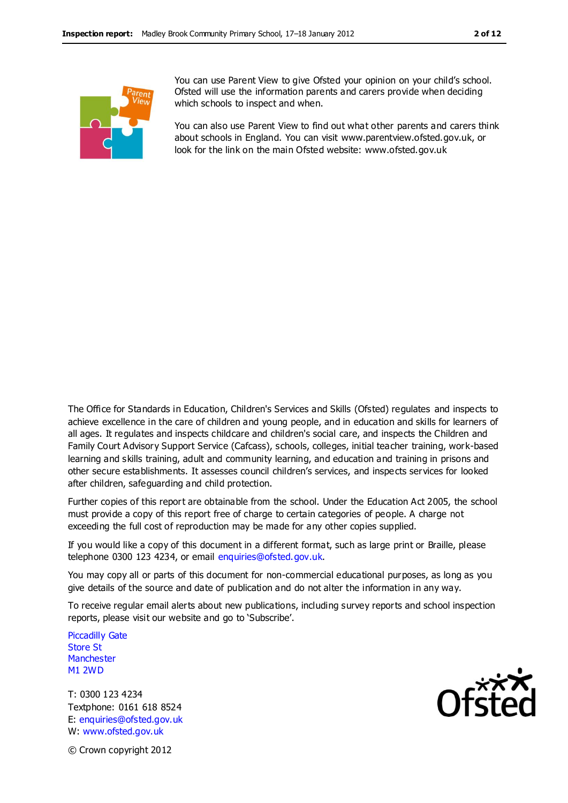

You can use Parent View to give Ofsted your opinion on your child's school. Ofsted will use the information parents and carers provide when deciding which schools to inspect and when.

You can also use Parent View to find out what other parents and carers think about schools in England. You can visit www.parentview.ofsted.gov.uk, or look for the link on the main Ofsted website: www.ofsted.gov.uk

The Office for Standards in Education, Children's Services and Skills (Ofsted) regulates and inspects to achieve excellence in the care of children and young people, and in education and skills for learners of all ages. It regulates and inspects childcare and children's social care, and inspects the Children and Family Court Advisory Support Service (Cafcass), schools, colleges, initial teacher training, work-based learning and skills training, adult and community learning, and education and training in prisons and other secure establishments. It assesses council children's services, and inspects services for looked after children, safeguarding and child protection.

Further copies of this report are obtainable from the school. Under the Education Act 2005, the school must provide a copy of this report free of charge to certain categories of people. A charge not exceeding the full cost of reproduction may be made for any other copies supplied.

If you would like a copy of this document in a different format, such as large print or Braille, please telephone 0300 123 4234, or email enquiries@ofsted.gov.uk.

You may copy all or parts of this document for non-commercial educational purposes, as long as you give details of the source and date of publication and do not alter the information in any way.

To receive regular email alerts about new publications, including survey reports and school inspection reports, please visit our website and go to 'Subscribe'.

Piccadilly Gate Store St **Manchester** M1 2WD

T: 0300 123 4234 Textphone: 0161 618 8524 E: enquiries@ofsted.gov.uk W: www.ofsted.gov.uk



© Crown copyright 2012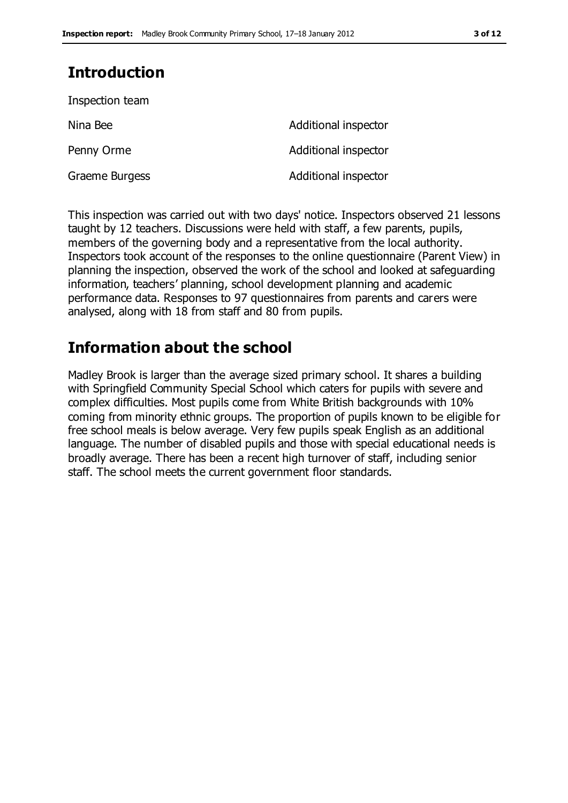# **Introduction**

| Additional inspector |
|----------------------|
| Additional inspector |
| Additional inspector |
|                      |

This inspection was carried out with two days' notice. Inspectors observed 21 lessons taught by 12 teachers. Discussions were held with staff, a few parents, pupils, members of the governing body and a representative from the local authority. Inspectors took account of the responses to the online questionnaire (Parent View) in planning the inspection, observed the work of the school and looked at safeguarding information, teachers' planning, school development planning and academic performance data. Responses to 97 questionnaires from parents and carers were analysed, along with 18 from staff and 80 from pupils.

# **Information about the school**

Madley Brook is larger than the average sized primary school. It shares a building with Springfield Community Special School which caters for pupils with severe and complex difficulties. Most pupils come from White British backgrounds with 10% coming from minority ethnic groups. The proportion of pupils known to be eligible for free school meals is below average. Very few pupils speak English as an additional language. The number of disabled pupils and those with special educational needs is broadly average. There has been a recent high turnover of staff, including senior staff. The school meets the current government floor standards.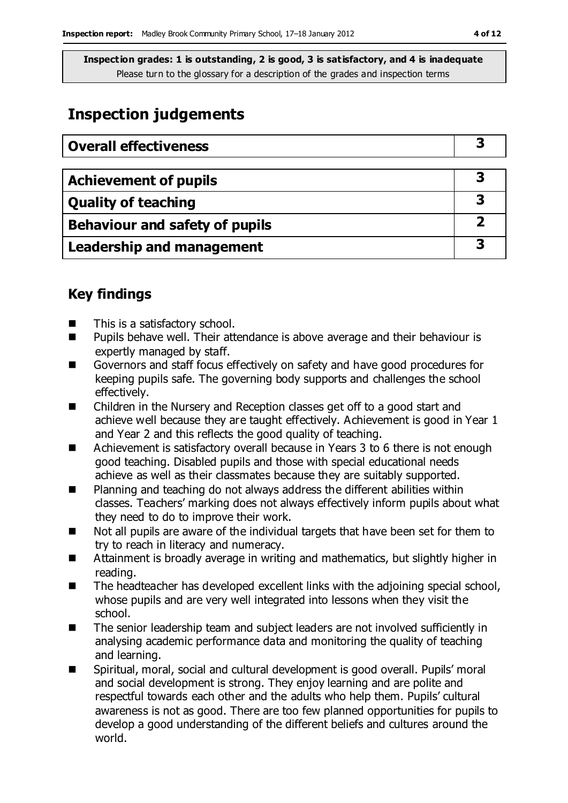# **Inspection judgements**

| <b>Overall effectiveness</b>     |   |
|----------------------------------|---|
|                                  |   |
| <b>Achievement of pupils</b>     | 3 |
| <b>Quality of teaching</b>       | 3 |
| Behaviour and safety of pupils   | 2 |
| <b>Leadership and management</b> | З |

### **Key findings**

- This is a satisfactory school.
- **Pupils behave well. Their attendance is above average and their behaviour is** expertly managed by staff.
- Governors and staff focus effectively on safety and have good procedures for keeping pupils safe. The governing body supports and challenges the school effectively.
- Children in the Nursery and Reception classes get off to a good start and achieve well because they are taught effectively. Achievement is good in Year 1 and Year 2 and this reflects the good quality of teaching.
- Achievement is satisfactory overall because in Years 3 to 6 there is not enough good teaching. Disabled pupils and those with special educational needs achieve as well as their classmates because they are suitably supported.
- Planning and teaching do not always address the different abilities within classes. Teachers' marking does not always effectively inform pupils about what they need to do to improve their work.
- Not all pupils are aware of the individual targets that have been set for them to try to reach in literacy and numeracy.
- Attainment is broadly average in writing and mathematics, but slightly higher in reading.
- The headteacher has developed excellent links with the adjoining special school, whose pupils and are very well integrated into lessons when they visit the school.
- The senior leadership team and subject leaders are not involved sufficiently in analysing academic performance data and monitoring the quality of teaching and learning.
- Spiritual, moral, social and cultural development is good overall. Pupils' moral and social development is strong. They enjoy learning and are polite and respectful towards each other and the adults who help them. Pupils' cultural awareness is not as good. There are too few planned opportunities for pupils to develop a good understanding of the different beliefs and cultures around the world.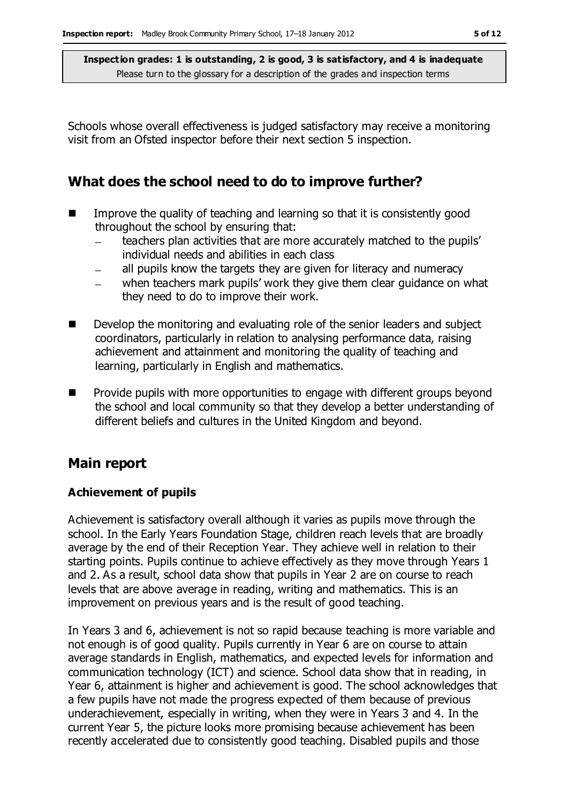Schools whose overall effectiveness is judged satisfactory may receive a monitoring visit from an Ofsted inspector before their next section 5 inspection.

### **What does the school need to do to improve further?**

- $\blacksquare$  Improve the quality of teaching and learning so that it is consistently good throughout the school by ensuring that:
	- teachers plan activities that are more accurately matched to the pupils' individual needs and abilities in each class
	- all pupils know the targets they are given for literacy and numeracy  $\overline{a}$
	- when teachers mark pupils' work they give them clear guidance on what they need to do to improve their work.
- Develop the monitoring and evaluating role of the senior leaders and subject coordinators, particularly in relation to analysing performance data, raising achievement and attainment and monitoring the quality of teaching and learning, particularly in English and mathematics.
- **Pedage 2** Provide pupils with more opportunities to engage with different groups beyond the school and local community so that they develop a better understanding of different beliefs and cultures in the United Kingdom and beyond.

### **Main report**

#### **Achievement of pupils**

Achievement is satisfactory overall although it varies as pupils move through the school. In the Early Years Foundation Stage, children reach levels that are broadly average by the end of their Reception Year. They achieve well in relation to their starting points. Pupils continue to achieve effectively as they move through Years 1 and 2. As a result, school data show that pupils in Year 2 are on course to reach levels that are above average in reading, writing and mathematics. This is an improvement on previous years and is the result of good teaching.

In Years 3 and 6, achievement is not so rapid because teaching is more variable and not enough is of good quality. Pupils currently in Year 6 are on course to attain average standards in English, mathematics, and expected levels for information and communication technology (ICT) and science. School data show that in reading, in Year 6, attainment is higher and achievement is good. The school acknowledges that a few pupils have not made the progress expected of them because of previous underachievement, especially in writing, when they were in Years 3 and 4. In the current Year 5, the picture looks more promising because achievement has been recently accelerated due to consistently good teaching. Disabled pupils and those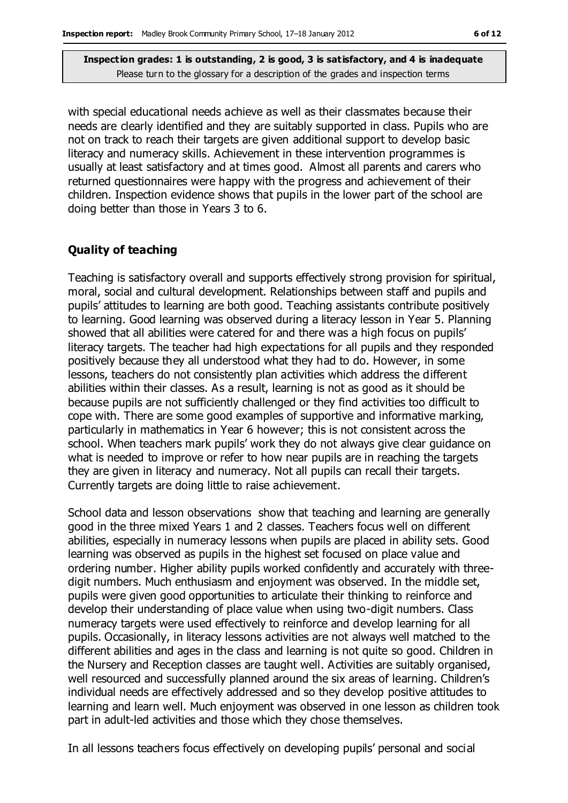with special educational needs achieve as well as their classmates because their needs are clearly identified and they are suitably supported in class. Pupils who are not on track to reach their targets are given additional support to develop basic literacy and numeracy skills. Achievement in these intervention programmes is usually at least satisfactory and at times good. Almost all parents and carers who returned questionnaires were happy with the progress and achievement of their children. Inspection evidence shows that pupils in the lower part of the school are doing better than those in Years 3 to 6.

#### **Quality of teaching**

Teaching is satisfactory overall and supports effectively strong provision for spiritual, moral, social and cultural development. Relationships between staff and pupils and pupils' attitudes to learning are both good. Teaching assistants contribute positively to learning. Good learning was observed during a literacy lesson in Year 5. Planning showed that all abilities were catered for and there was a high focus on pupils' literacy targets. The teacher had high expectations for all pupils and they responded positively because they all understood what they had to do. However, in some lessons, teachers do not consistently plan activities which address the different abilities within their classes. As a result, learning is not as good as it should be because pupils are not sufficiently challenged or they find activities too difficult to cope with. There are some good examples of supportive and informative marking, particularly in mathematics in Year 6 however; this is not consistent across the school. When teachers mark pupils' work they do not always give clear guidance on what is needed to improve or refer to how near pupils are in reaching the targets they are given in literacy and numeracy. Not all pupils can recall their targets. Currently targets are doing little to raise achievement.

School data and lesson observations show that teaching and learning are generally good in the three mixed Years 1 and 2 classes. Teachers focus well on different abilities, especially in numeracy lessons when pupils are placed in ability sets. Good learning was observed as pupils in the highest set focused on place value and ordering number. Higher ability pupils worked confidently and accurately with threedigit numbers. Much enthusiasm and enjoyment was observed. In the middle set, pupils were given good opportunities to articulate their thinking to reinforce and develop their understanding of place value when using two-digit numbers. Class numeracy targets were used effectively to reinforce and develop learning for all pupils. Occasionally, in literacy lessons activities are not always well matched to the different abilities and ages in the class and learning is not quite so good. Children in the Nursery and Reception classes are taught well. Activities are suitably organised, well resourced and successfully planned around the six areas of learning. Children's individual needs are effectively addressed and so they develop positive attitudes to learning and learn well. Much enjoyment was observed in one lesson as children took part in adult-led activities and those which they chose themselves.

In all lessons teachers focus effectively on developing pupils' personal and social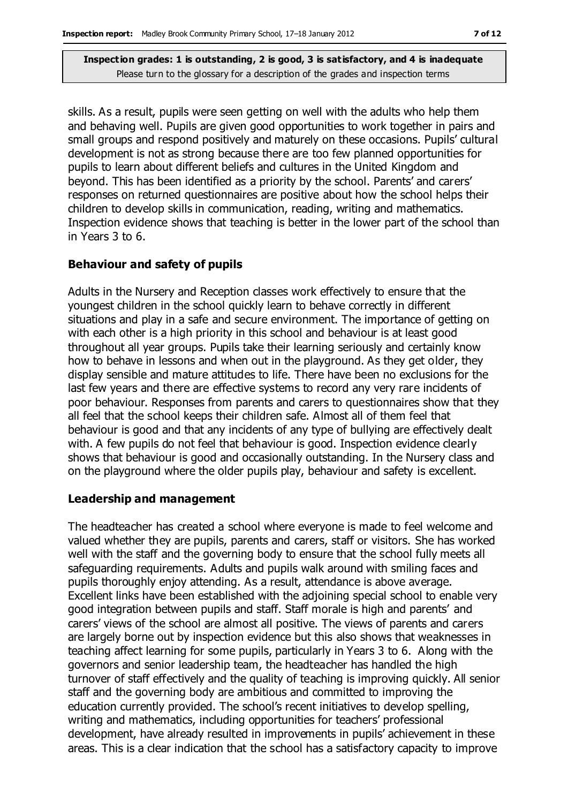skills. As a result, pupils were seen getting on well with the adults who help them and behaving well. Pupils are given good opportunities to work together in pairs and small groups and respond positively and maturely on these occasions. Pupils' cultural development is not as strong because there are too few planned opportunities for pupils to learn about different beliefs and cultures in the United Kingdom and beyond. This has been identified as a priority by the school. Parents' and carers' responses on returned questionnaires are positive about how the school helps their children to develop skills in communication, reading, writing and mathematics. Inspection evidence shows that teaching is better in the lower part of the school than in Years 3 to 6.

#### **Behaviour and safety of pupils**

Adults in the Nursery and Reception classes work effectively to ensure that the youngest children in the school quickly learn to behave correctly in different situations and play in a safe and secure environment. The importance of getting on with each other is a high priority in this school and behaviour is at least good throughout all year groups. Pupils take their learning seriously and certainly know how to behave in lessons and when out in the playground. As they get older, they display sensible and mature attitudes to life. There have been no exclusions for the last few years and there are effective systems to record any very rare incidents of poor behaviour. Responses from parents and carers to questionnaires show that they all feel that the school keeps their children safe. Almost all of them feel that behaviour is good and that any incidents of any type of bullying are effectively dealt with. A few pupils do not feel that behaviour is good. Inspection evidence clearly shows that behaviour is good and occasionally outstanding. In the Nursery class and on the playground where the older pupils play, behaviour and safety is excellent.

#### **Leadership and management**

The headteacher has created a school where everyone is made to feel welcome and valued whether they are pupils, parents and carers, staff or visitors. She has worked well with the staff and the governing body to ensure that the school fully meets all safeguarding requirements. Adults and pupils walk around with smiling faces and pupils thoroughly enjoy attending. As a result, attendance is above average. Excellent links have been established with the adjoining special school to enable very good integration between pupils and staff. Staff morale is high and parents' and carers' views of the school are almost all positive. The views of parents and carers are largely borne out by inspection evidence but this also shows that weaknesses in teaching affect learning for some pupils, particularly in Years 3 to 6. Along with the governors and senior leadership team, the headteacher has handled the high turnover of staff effectively and the quality of teaching is improving quickly. All senior staff and the governing body are ambitious and committed to improving the education currently provided. The school's recent initiatives to develop spelling, writing and mathematics, including opportunities for teachers' professional development, have already resulted in improvements in pupils' achievement in these areas. This is a clear indication that the school has a satisfactory capacity to improve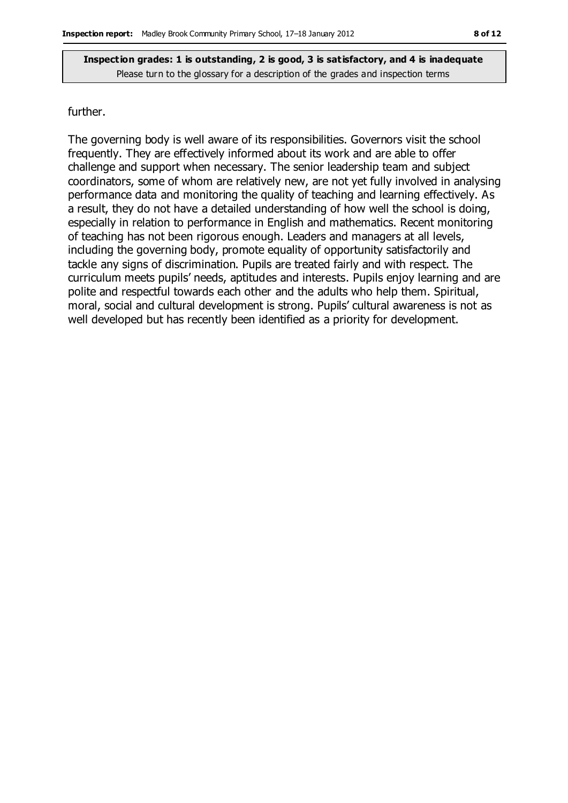#### further.

The governing body is well aware of its responsibilities. Governors visit the school frequently. They are effectively informed about its work and are able to offer challenge and support when necessary. The senior leadership team and subject coordinators, some of whom are relatively new, are not yet fully involved in analysing performance data and monitoring the quality of teaching and learning effectively. As a result, they do not have a detailed understanding of how well the school is doing, especially in relation to performance in English and mathematics. Recent monitoring of teaching has not been rigorous enough. Leaders and managers at all levels, including the governing body, promote equality of opportunity satisfactorily and tackle any signs of discrimination. Pupils are treated fairly and with respect. The curriculum meets pupils' needs, aptitudes and interests. Pupils enjoy learning and are polite and respectful towards each other and the adults who help them. Spiritual, moral, social and cultural development is strong. Pupils' cultural awareness is not as well developed but has recently been identified as a priority for development.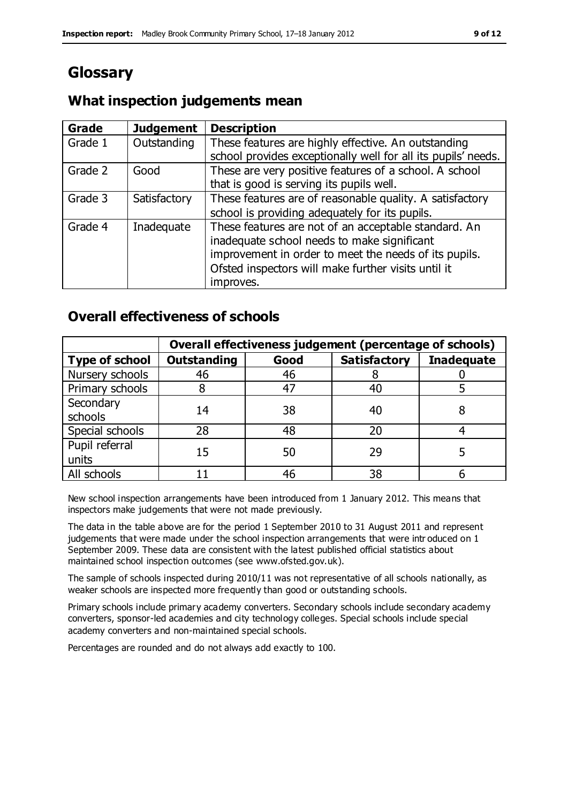# **Glossary**

### **What inspection judgements mean**

| <b>Grade</b> | <b>Judgement</b> | <b>Description</b>                                                                                                                                                                                                               |
|--------------|------------------|----------------------------------------------------------------------------------------------------------------------------------------------------------------------------------------------------------------------------------|
| Grade 1      | Outstanding      | These features are highly effective. An outstanding<br>school provides exceptionally well for all its pupils' needs.                                                                                                             |
| Grade 2      | Good             | These are very positive features of a school. A school<br>that is good is serving its pupils well.                                                                                                                               |
| Grade 3      | Satisfactory     | These features are of reasonable quality. A satisfactory<br>school is providing adequately for its pupils.                                                                                                                       |
| Grade 4      | Inadequate       | These features are not of an acceptable standard. An<br>inadequate school needs to make significant<br>improvement in order to meet the needs of its pupils.<br>Ofsted inspectors will make further visits until it<br>improves. |

### **Overall effectiveness of schools**

|                         | Overall effectiveness judgement (percentage of schools) |      |                     |                   |
|-------------------------|---------------------------------------------------------|------|---------------------|-------------------|
| <b>Type of school</b>   | <b>Outstanding</b>                                      | Good | <b>Satisfactory</b> | <b>Inadequate</b> |
| Nursery schools         | 46                                                      | 46   |                     |                   |
| Primary schools         |                                                         | 47   | 40                  |                   |
| Secondary<br>schools    | 14                                                      | 38   | 40                  |                   |
| Special schools         | 28                                                      | 48   | 20                  |                   |
| Pupil referral<br>units | 15                                                      | 50   | 29                  |                   |
| All schools             |                                                         | 46   | 38                  |                   |

New school inspection arrangements have been introduced from 1 January 2012. This means that inspectors make judgements that were not made previously.

The data in the table above are for the period 1 September 2010 to 31 August 2011 and represent judgements that were made under the school inspection arrangements that were intr oduced on 1 September 2009. These data are consistent with the latest published official statistics about maintained school inspection outcomes (see www.ofsted.gov.uk).

The sample of schools inspected during 2010/11 was not representative of all schools nationally, as weaker schools are inspected more frequently than good or outstanding schools.

Primary schools include primary academy converters. Secondary schools include secondary academy converters, sponsor-led academies and city technology colleges. Special schools include special academy converters and non-maintained special schools.

Percentages are rounded and do not always add exactly to 100.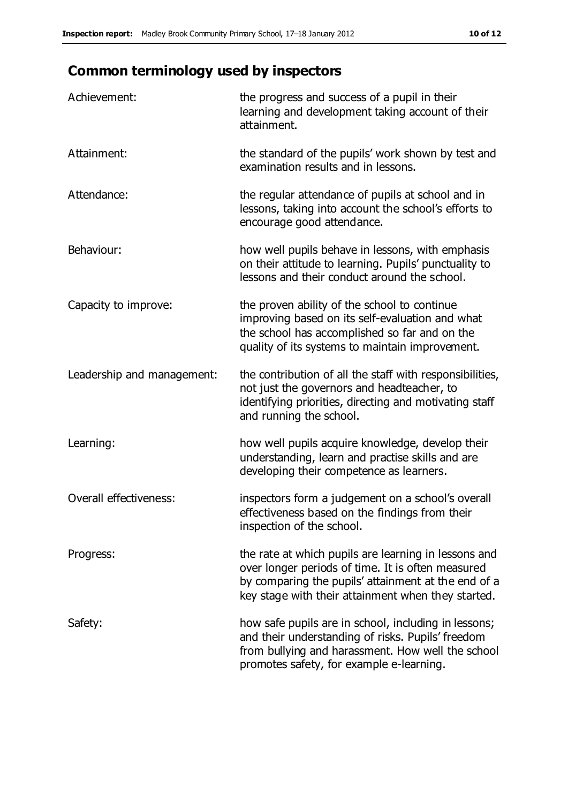# **Common terminology used by inspectors**

| Achievement:                  | the progress and success of a pupil in their<br>learning and development taking account of their<br>attainment.                                                                                                        |
|-------------------------------|------------------------------------------------------------------------------------------------------------------------------------------------------------------------------------------------------------------------|
| Attainment:                   | the standard of the pupils' work shown by test and<br>examination results and in lessons.                                                                                                                              |
| Attendance:                   | the regular attendance of pupils at school and in<br>lessons, taking into account the school's efforts to<br>encourage good attendance.                                                                                |
| Behaviour:                    | how well pupils behave in lessons, with emphasis<br>on their attitude to learning. Pupils' punctuality to<br>lessons and their conduct around the school.                                                              |
| Capacity to improve:          | the proven ability of the school to continue<br>improving based on its self-evaluation and what<br>the school has accomplished so far and on the<br>quality of its systems to maintain improvement.                    |
| Leadership and management:    | the contribution of all the staff with responsibilities,<br>not just the governors and headteacher, to<br>identifying priorities, directing and motivating staff<br>and running the school.                            |
| Learning:                     | how well pupils acquire knowledge, develop their<br>understanding, learn and practise skills and are<br>developing their competence as learners.                                                                       |
| <b>Overall effectiveness:</b> | inspectors form a judgement on a school's overall<br>effectiveness based on the findings from their<br>inspection of the school.                                                                                       |
| Progress:                     | the rate at which pupils are learning in lessons and<br>over longer periods of time. It is often measured<br>by comparing the pupils' attainment at the end of a<br>key stage with their attainment when they started. |
| Safety:                       | how safe pupils are in school, including in lessons;<br>and their understanding of risks. Pupils' freedom<br>from bullying and harassment. How well the school<br>promotes safety, for example e-learning.             |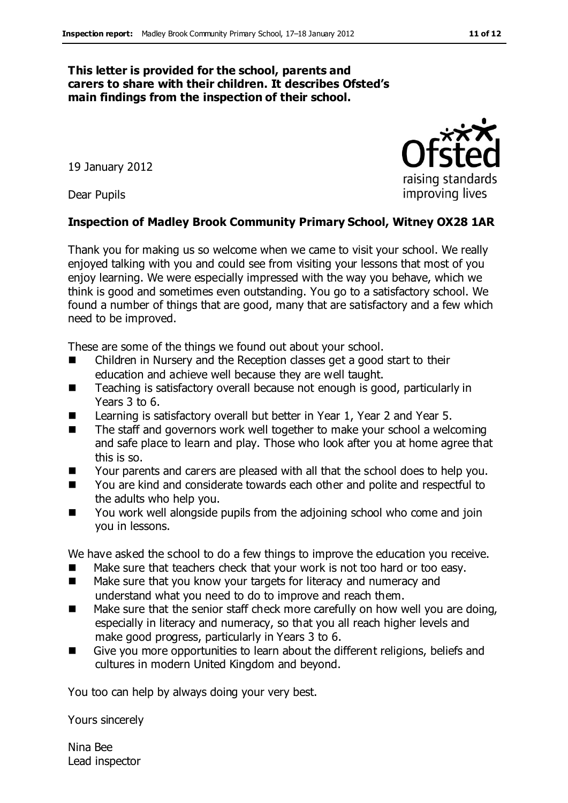#### **This letter is provided for the school, parents and carers to share with their children. It describes Ofsted's main findings from the inspection of their school.**

19 January 2012

Dear Pupils

#### **Inspection of Madley Brook Community Primary School, Witney OX28 1AR**

Thank you for making us so welcome when we came to visit your school. We really enjoyed talking with you and could see from visiting your lessons that most of you enjoy learning. We were especially impressed with the way you behave, which we think is good and sometimes even outstanding. You go to a satisfactory school. We found a number of things that are good, many that are satisfactory and a few which need to be improved.

These are some of the things we found out about your school.

- Children in Nursery and the Reception classes get a good start to their education and achieve well because they are well taught.
- Teaching is satisfactory overall because not enough is good, particularly in Years 3 to 6.
- Learning is satisfactory overall but better in Year 1, Year 2 and Year 5.
- The staff and governors work well together to make your school a welcoming and safe place to learn and play. Those who look after you at home agree that this is so.
- **The** Your parents and carers are pleased with all that the school does to help you.
- You are kind and considerate towards each other and polite and respectful to the adults who help you.
- You work well alongside pupils from the adjoining school who come and join you in lessons.

We have asked the school to do a few things to improve the education you receive.

- Make sure that teachers check that your work is not too hard or too easy.
- Make sure that you know your targets for literacy and numeracy and understand what you need to do to improve and reach them.
- Make sure that the senior staff check more carefully on how well you are doing, especially in literacy and numeracy, so that you all reach higher levels and make good progress, particularly in Years 3 to 6.
- Give you more opportunities to learn about the different religions, beliefs and cultures in modern United Kingdom and beyond.

You too can help by always doing your very best.

Yours sincerely

Nina Bee Lead inspector